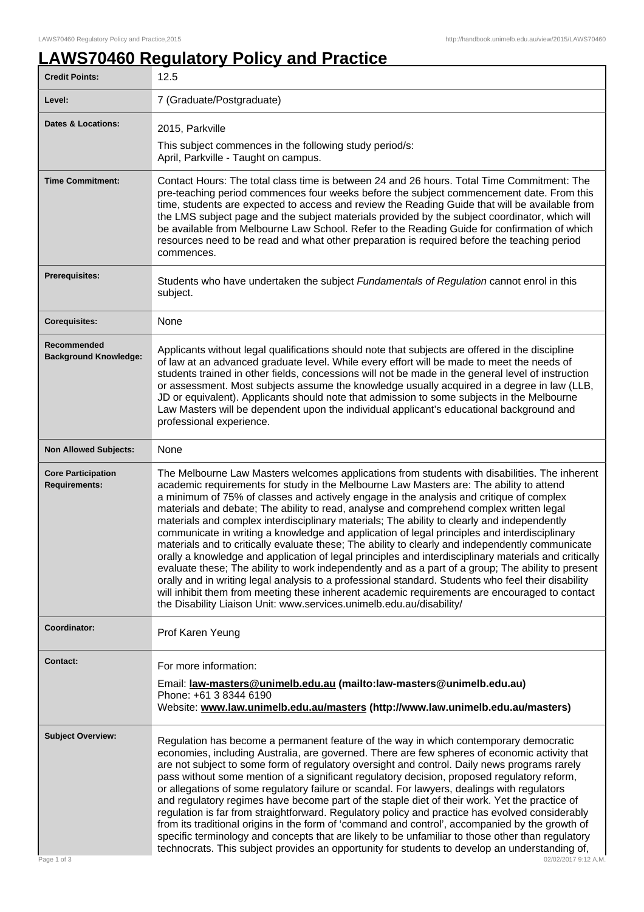## **LAWS70460 Regulatory Policy and Practice**

| <b>Credit Points:</b>                             | 12.5                                                                                                                                                                                                                                                                                                                                                                                                                                                                                                                                                                                                                                                                                                                                                                                                                                                                                                                                                                                                                                                                                                                                                                             |
|---------------------------------------------------|----------------------------------------------------------------------------------------------------------------------------------------------------------------------------------------------------------------------------------------------------------------------------------------------------------------------------------------------------------------------------------------------------------------------------------------------------------------------------------------------------------------------------------------------------------------------------------------------------------------------------------------------------------------------------------------------------------------------------------------------------------------------------------------------------------------------------------------------------------------------------------------------------------------------------------------------------------------------------------------------------------------------------------------------------------------------------------------------------------------------------------------------------------------------------------|
| Level:                                            | 7 (Graduate/Postgraduate)                                                                                                                                                                                                                                                                                                                                                                                                                                                                                                                                                                                                                                                                                                                                                                                                                                                                                                                                                                                                                                                                                                                                                        |
| <b>Dates &amp; Locations:</b>                     | 2015, Parkville                                                                                                                                                                                                                                                                                                                                                                                                                                                                                                                                                                                                                                                                                                                                                                                                                                                                                                                                                                                                                                                                                                                                                                  |
|                                                   | This subject commences in the following study period/s:<br>April, Parkville - Taught on campus.                                                                                                                                                                                                                                                                                                                                                                                                                                                                                                                                                                                                                                                                                                                                                                                                                                                                                                                                                                                                                                                                                  |
| <b>Time Commitment:</b>                           | Contact Hours: The total class time is between 24 and 26 hours. Total Time Commitment: The<br>pre-teaching period commences four weeks before the subject commencement date. From this<br>time, students are expected to access and review the Reading Guide that will be available from<br>the LMS subject page and the subject materials provided by the subject coordinator, which will<br>be available from Melbourne Law School. Refer to the Reading Guide for confirmation of which<br>resources need to be read and what other preparation is required before the teaching period<br>commences.                                                                                                                                                                                                                                                                                                                                                                                                                                                                                                                                                                          |
| <b>Prerequisites:</b>                             | Students who have undertaken the subject Fundamentals of Regulation cannot enrol in this<br>subject.                                                                                                                                                                                                                                                                                                                                                                                                                                                                                                                                                                                                                                                                                                                                                                                                                                                                                                                                                                                                                                                                             |
| <b>Corequisites:</b>                              | None                                                                                                                                                                                                                                                                                                                                                                                                                                                                                                                                                                                                                                                                                                                                                                                                                                                                                                                                                                                                                                                                                                                                                                             |
| Recommended<br><b>Background Knowledge:</b>       | Applicants without legal qualifications should note that subjects are offered in the discipline<br>of law at an advanced graduate level. While every effort will be made to meet the needs of<br>students trained in other fields, concessions will not be made in the general level of instruction<br>or assessment. Most subjects assume the knowledge usually acquired in a degree in law (LLB,<br>JD or equivalent). Applicants should note that admission to some subjects in the Melbourne<br>Law Masters will be dependent upon the individual applicant's educational background and<br>professional experience.                                                                                                                                                                                                                                                                                                                                                                                                                                                                                                                                                         |
| <b>Non Allowed Subjects:</b>                      | None                                                                                                                                                                                                                                                                                                                                                                                                                                                                                                                                                                                                                                                                                                                                                                                                                                                                                                                                                                                                                                                                                                                                                                             |
| <b>Core Participation</b><br><b>Requirements:</b> | The Melbourne Law Masters welcomes applications from students with disabilities. The inherent<br>academic requirements for study in the Melbourne Law Masters are: The ability to attend<br>a minimum of 75% of classes and actively engage in the analysis and critique of complex<br>materials and debate; The ability to read, analyse and comprehend complex written legal<br>materials and complex interdisciplinary materials; The ability to clearly and independently<br>communicate in writing a knowledge and application of legal principles and interdisciplinary<br>materials and to critically evaluate these; The ability to clearly and independently communicate<br>orally a knowledge and application of legal principles and interdisciplinary materials and critically<br>evaluate these; The ability to work independently and as a part of a group; The ability to present<br>orally and in writing legal analysis to a professional standard. Students who feel their disability<br>will inhibit them from meeting these inherent academic requirements are encouraged to contact<br>the Disability Liaison Unit: www.services.unimelb.edu.au/disability/ |
| Coordinator:                                      | Prof Karen Yeung                                                                                                                                                                                                                                                                                                                                                                                                                                                                                                                                                                                                                                                                                                                                                                                                                                                                                                                                                                                                                                                                                                                                                                 |
| <b>Contact:</b>                                   | For more information:<br>Email: law-masters@unimelb.edu.au (mailto:law-masters@unimelb.edu.au)<br>Phone: +61 3 8344 6190<br>Website: www.law.unimelb.edu.au/masters (http://www.law.unimelb.edu.au/masters)                                                                                                                                                                                                                                                                                                                                                                                                                                                                                                                                                                                                                                                                                                                                                                                                                                                                                                                                                                      |
| <b>Subject Overview:</b><br>Page 1 of 3           | Regulation has become a permanent feature of the way in which contemporary democratic<br>economies, including Australia, are governed. There are few spheres of economic activity that<br>are not subject to some form of regulatory oversight and control. Daily news programs rarely<br>pass without some mention of a significant regulatory decision, proposed regulatory reform,<br>or allegations of some regulatory failure or scandal. For lawyers, dealings with regulators<br>and regulatory regimes have become part of the staple diet of their work. Yet the practice of<br>regulation is far from straightforward. Regulatory policy and practice has evolved considerably<br>from its traditional origins in the form of 'command and control', accompanied by the growth of<br>specific terminology and concepts that are likely to be unfamiliar to those other than regulatory<br>technocrats. This subject provides an opportunity for students to develop an understanding of,<br>02/02/2017 9:12 A.M.                                                                                                                                                       |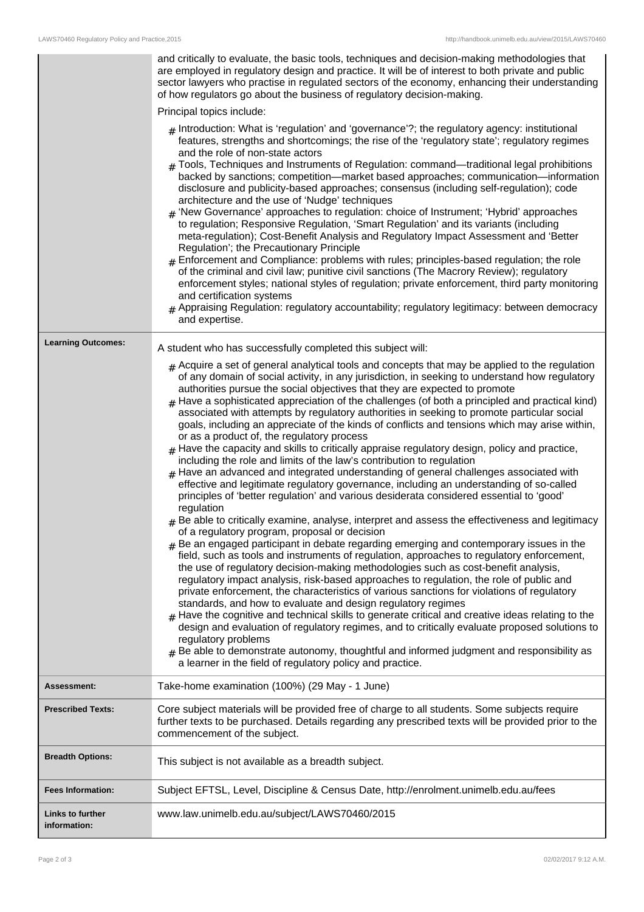|                                         | and critically to evaluate, the basic tools, techniques and decision-making methodologies that<br>are employed in regulatory design and practice. It will be of interest to both private and public<br>sector lawyers who practise in regulated sectors of the economy, enhancing their understanding<br>of how regulators go about the business of regulatory decision-making.<br>Principal topics include:<br>$_{\#}$ Introduction: What is 'regulation' and 'governance'?; the regulatory agency: institutional<br>features, strengths and shortcomings; the rise of the 'regulatory state'; regulatory regimes<br>and the role of non-state actors<br>$#$ Tools, Techniques and Instruments of Regulation: command—traditional legal prohibitions<br>backed by sanctions; competition—market based approaches; communication—information<br>disclosure and publicity-based approaches; consensus (including self-regulation); code<br>architecture and the use of 'Nudge' techniques<br>$_{\#}$ 'New Governance' approaches to regulation: choice of Instrument; 'Hybrid' approaches<br>to regulation; Responsive Regulation, 'Smart Regulation' and its variants (including<br>meta-regulation); Cost-Benefit Analysis and Regulatory Impact Assessment and 'Better<br>Regulation'; the Precautionary Principle<br>$#$ Enforcement and Compliance: problems with rules; principles-based regulation; the role<br>of the criminal and civil law; punitive civil sanctions (The Macrory Review); regulatory<br>enforcement styles; national styles of regulation; private enforcement, third party monitoring<br>and certification systems<br>$_{\#}$ Appraising Regulation: regulatory accountability; regulatory legitimacy: between democracy<br>and expertise.                                                                                                                                                                                                                                                                                                                                                                                                                                                     |
|-----------------------------------------|---------------------------------------------------------------------------------------------------------------------------------------------------------------------------------------------------------------------------------------------------------------------------------------------------------------------------------------------------------------------------------------------------------------------------------------------------------------------------------------------------------------------------------------------------------------------------------------------------------------------------------------------------------------------------------------------------------------------------------------------------------------------------------------------------------------------------------------------------------------------------------------------------------------------------------------------------------------------------------------------------------------------------------------------------------------------------------------------------------------------------------------------------------------------------------------------------------------------------------------------------------------------------------------------------------------------------------------------------------------------------------------------------------------------------------------------------------------------------------------------------------------------------------------------------------------------------------------------------------------------------------------------------------------------------------------------------------------------------------------------------------------------------------------------------------------------------------------------------------------------------------------------------------------------------------------------------------------------------------------------------------------------------------------------------------------------------------------------------------------------------------------------------------------------------------------------------------------------------|
| <b>Learning Outcomes:</b>               | A student who has successfully completed this subject will:                                                                                                                                                                                                                                                                                                                                                                                                                                                                                                                                                                                                                                                                                                                                                                                                                                                                                                                                                                                                                                                                                                                                                                                                                                                                                                                                                                                                                                                                                                                                                                                                                                                                                                                                                                                                                                                                                                                                                                                                                                                                                                                                                               |
|                                         | $#$ Acquire a set of general analytical tools and concepts that may be applied to the regulation<br>of any domain of social activity, in any jurisdiction, in seeking to understand how regulatory<br>authorities pursue the social objectives that they are expected to promote<br>$#$ Have a sophisticated appreciation of the challenges (of both a principled and practical kind)<br>associated with attempts by regulatory authorities in seeking to promote particular social<br>goals, including an appreciate of the kinds of conflicts and tensions which may arise within,<br>or as a product of, the regulatory process<br>$*$ Have the capacity and skills to critically appraise regulatory design, policy and practice,<br>including the role and limits of the law's contribution to regulation<br>$#$ Have an advanced and integrated understanding of general challenges associated with<br>effective and legitimate regulatory governance, including an understanding of so-called<br>principles of 'better regulation' and various desiderata considered essential to 'good'<br>regulation<br>$*$ Be able to critically examine, analyse, interpret and assess the effectiveness and legitimacy<br>of a regulatory program, proposal or decision<br>$#$ Be an engaged participant in debate regarding emerging and contemporary issues in the<br>field, such as tools and instruments of regulation, approaches to regulatory enforcement,<br>the use of regulatory decision-making methodologies such as cost-benefit analysis,<br>regulatory impact analysis, risk-based approaches to regulation, the role of public and<br>private enforcement, the characteristics of various sanctions for violations of regulatory<br>standards, and how to evaluate and design regulatory regimes<br>$_{\text{\#}}$ Have the cognitive and technical skills to generate critical and creative ideas relating to the<br>design and evaluation of regulatory regimes, and to critically evaluate proposed solutions to<br>regulatory problems<br>$_{\rm #}$ Be able to demonstrate autonomy, thoughtful and informed judgment and responsibility as<br>a learner in the field of regulatory policy and practice. |
| <b>Assessment:</b>                      | Take-home examination (100%) (29 May - 1 June)                                                                                                                                                                                                                                                                                                                                                                                                                                                                                                                                                                                                                                                                                                                                                                                                                                                                                                                                                                                                                                                                                                                                                                                                                                                                                                                                                                                                                                                                                                                                                                                                                                                                                                                                                                                                                                                                                                                                                                                                                                                                                                                                                                            |
| <b>Prescribed Texts:</b>                | Core subject materials will be provided free of charge to all students. Some subjects require<br>further texts to be purchased. Details regarding any prescribed texts will be provided prior to the<br>commencement of the subject.                                                                                                                                                                                                                                                                                                                                                                                                                                                                                                                                                                                                                                                                                                                                                                                                                                                                                                                                                                                                                                                                                                                                                                                                                                                                                                                                                                                                                                                                                                                                                                                                                                                                                                                                                                                                                                                                                                                                                                                      |
| <b>Breadth Options:</b>                 | This subject is not available as a breadth subject.                                                                                                                                                                                                                                                                                                                                                                                                                                                                                                                                                                                                                                                                                                                                                                                                                                                                                                                                                                                                                                                                                                                                                                                                                                                                                                                                                                                                                                                                                                                                                                                                                                                                                                                                                                                                                                                                                                                                                                                                                                                                                                                                                                       |
| <b>Fees Information:</b>                | Subject EFTSL, Level, Discipline & Census Date, http://enrolment.unimelb.edu.au/fees                                                                                                                                                                                                                                                                                                                                                                                                                                                                                                                                                                                                                                                                                                                                                                                                                                                                                                                                                                                                                                                                                                                                                                                                                                                                                                                                                                                                                                                                                                                                                                                                                                                                                                                                                                                                                                                                                                                                                                                                                                                                                                                                      |
| <b>Links to further</b><br>information: | www.law.unimelb.edu.au/subject/LAWS70460/2015                                                                                                                                                                                                                                                                                                                                                                                                                                                                                                                                                                                                                                                                                                                                                                                                                                                                                                                                                                                                                                                                                                                                                                                                                                                                                                                                                                                                                                                                                                                                                                                                                                                                                                                                                                                                                                                                                                                                                                                                                                                                                                                                                                             |